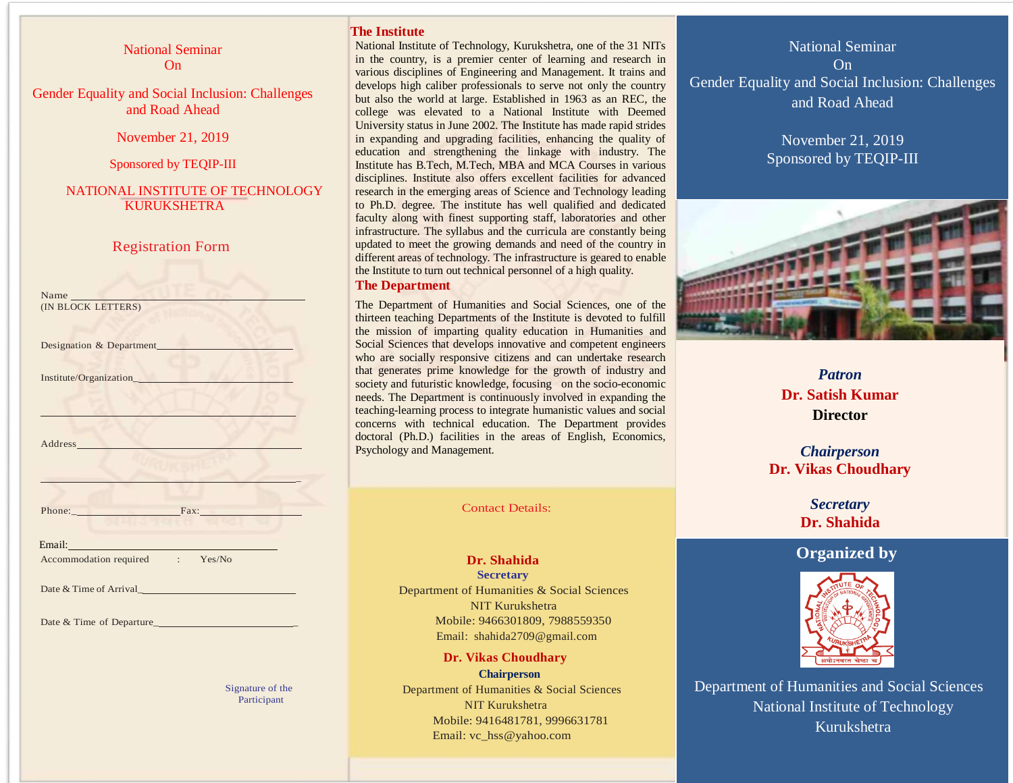National Seminar On

Gender Equality and Social Inclusion: Challenges and Road Ahead

November 21, 2019

Sponsored by TEQIP-III

NATIONAL INSTITUTE OF TECHNOLOGY KURUKSHETRA

## Registration Form

| Name<br>(IN BLOCK LETTERS)      |
|---------------------------------|
|                                 |
| Designation & Department        |
|                                 |
|                                 |
|                                 |
|                                 |
|                                 |
|                                 |
|                                 |
|                                 |
|                                 |
|                                 |
| Phone: Fax: Fax:                |
|                                 |
| Email: Email:                   |
| Accommodation required : Yes/No |
|                                 |
|                                 |
|                                 |
|                                 |
|                                 |

Signature of the Participant

## **The Institute**

i

National Institute of Technology, Kurukshetra, one of the 31 NITs in the country, is a premier center of learning and research in various disciplines of Engineering and Management. It trains and develops high caliber professionals to serve not only the country but also the world at large. Established in 1963 as an REC, the college was elevated to a National Institute with Deemed University status in June 2002. The Institute has made rapid strides in expanding and upgrading facilities, enhancing the quality of education and strengthening the linkage with industry. The Institute has B.Tech, M.Tech, MBA and MCA Courses in various disciplines. Institute also offers excellent facilities for advanced research in the emerging areas of Science and Technology leading to Ph.D. degree. The institute has well qualified and dedicated faculty along with finest supporting staff, laboratories and other infrastructure. The syllabus and the curricula are constantly being updated to meet the growing demands and need of the country in different areas of technology. The infrastructure is geared to enable the Institute to turn out technical personnel of a high quality.

#### **The Department**

The Department of Humanities and Social Sciences, one of the thirteen teaching Departments of the Institute is devoted to fulfill the mission of imparting quality education in Humanities and Social Sciences that develops innovative and competent engineers who are socially responsive citizens and can undertake research that generates prime knowledge for the growth of industry and society and futuristic knowledge, focusing on the socio-economic needs. The Department is continuously involved in expanding the teaching-learning process to integrate humanistic values and social concerns with technical education. The Department provides doctoral (Ph.D.) facilities in the areas of English, Economics, Psychology and Management.

Contact Details:

Dr. Shahida **Secretary** Department of Humanities & Social Sciences NIT Kurukshetra Mobile: 9466301809, 7988559350 Email: shahida2709@gmail.com

 **Dr. Vikas Choudhary Chairperson** Department of Humanities & Social Sciences NIT Kurukshetra Mobile: 9416481781, 9996631781 Email: [vc\\_hss@yahoo.com](mailto:vc_hss@yahoo.com)

National Seminar On Gender Equality and Social Inclusion: Challenges and Road Ahead

> November 21, 2019 Sponsored by TEQIP-III



*Patron* **Dr. Satish Kumar Director**

*Chairperson* **Dr. Vikas Choudhary**

> *Secretary* **Dr. Shahida**

# **Organized by**



 $\ddot{\phantom{0}}$ Department of Humanities and Social Sciences National Institute of Technology Kurukshetra